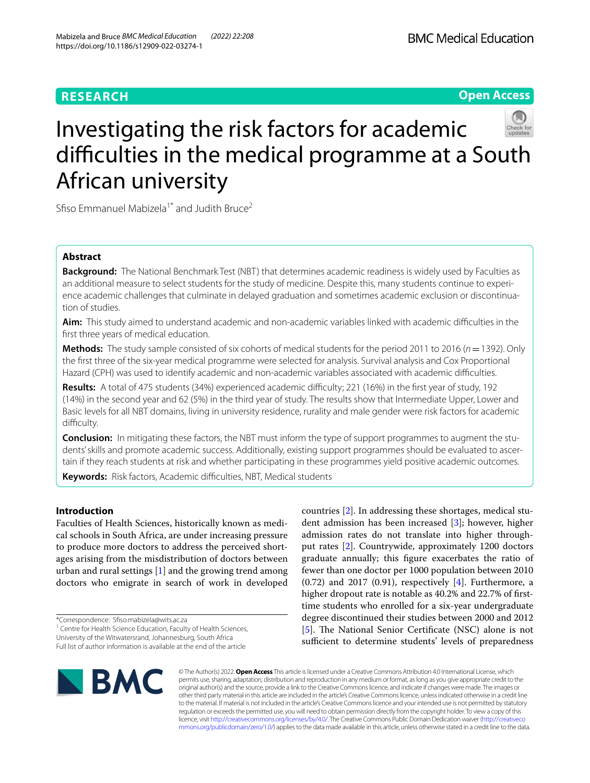# **RESEARCH**

# **Open Access**



# Investigating the risk factors for academic difficulties in the medical programme at a South African university

Sfiso Emmanuel Mabizela<sup>1\*</sup> and Judith Bruce<sup>2</sup>

# **Abstract**

**Background:** The National Benchmark Test (NBT) that determines academic readiness is widely used by Faculties as an additional measure to select students for the study of medicine. Despite this, many students continue to experience academic challenges that culminate in delayed graduation and sometimes academic exclusion or discontinuation of studies.

Aim: This study aimed to understand academic and non-academic variables linked with academic difficulties in the frst three years of medical education.

**Methods:** The study sample consisted of six cohorts of medical students for the period 2011 to 2016 (*n*=1392). Only the frst three of the six-year medical programme were selected for analysis. Survival analysis and Cox Proportional Hazard (CPH) was used to identify academic and non-academic variables associated with academic difficulties.

Results: A total of 475 students (34%) experienced academic difficulty; 221 (16%) in the first year of study, 192 (14%) in the second year and 62 (5%) in the third year of study. The results show that Intermediate Upper, Lower and Basic levels for all NBT domains, living in university residence, rurality and male gender were risk factors for academic difficulty.

**Conclusion:** In mitigating these factors, the NBT must inform the type of support programmes to augment the students' skills and promote academic success. Additionally, existing support programmes should be evaluated to ascertain if they reach students at risk and whether participating in these programmes yield positive academic outcomes.

Keywords: Risk factors, Academic difficulties, NBT, Medical students

# **Introduction**

Faculties of Health Sciences, historically known as medical schools in South Africa, are under increasing pressure to produce more doctors to address the perceived shortages arising from the misdistribution of doctors between urban and rural settings  $[1]$  $[1]$  $[1]$  and the growing trend among doctors who emigrate in search of work in developed

\*Correspondence: Sfso.mabizela@wits.ac.za

<sup>1</sup> Centre for Health Science Education, Faculty of Health Sciences, University of the Witwatersrand, Johannesburg, South Africa

Full list of author information is available at the end of the article

**BMC** 

countries [[2\]](#page-6-1). In addressing these shortages, medical student admission has been increased [\[3](#page-6-2)]; however, higher admission rates do not translate into higher throughput rates [[2\]](#page-6-1). Countrywide, approximately 1200 doctors graduate annually; this fgure exacerbates the ratio of fewer than one doctor per 1000 population between 2010  $(0.72)$  and 2017  $(0.91)$ , respectively  $[4]$  $[4]$ . Furthermore, a higher dropout rate is notable as 40.2% and 22.7% of firsttime students who enrolled for a six-year undergraduate degree discontinued their studies between 2000 and 2012 [[5\]](#page-6-4). The National Senior Certificate (NSC) alone is not sufficient to determine students' levels of preparedness

© The Author(s) 2022. **Open Access** This article is licensed under a Creative Commons Attribution 4.0 International License, which permits use, sharing, adaptation, distribution and reproduction in any medium or format, as long as you give appropriate credit to the original author(s) and the source, provide a link to the Creative Commons licence, and indicate if changes were made. The images or other third party material in this article are included in the article's Creative Commons licence, unless indicated otherwise in a credit line to the material. If material is not included in the article's Creative Commons licence and your intended use is not permitted by statutory regulation or exceeds the permitted use, you will need to obtain permission directly from the copyright holder. To view a copy of this licence, visit [http://creativecommons.org/licenses/by/4.0/.](http://creativecommons.org/licenses/by/4.0/) The Creative Commons Public Domain Dedication waiver ([http://creativeco](http://creativecommons.org/publicdomain/zero/1.0/) [mmons.org/publicdomain/zero/1.0/](http://creativecommons.org/publicdomain/zero/1.0/)) applies to the data made available in this article, unless otherwise stated in a credit line to the data.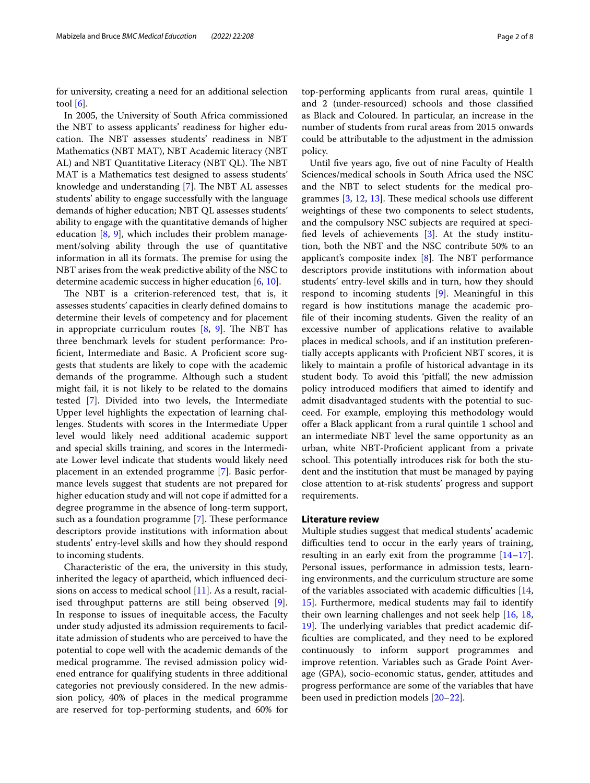for university, creating a need for an additional selection tool  $[6]$  $[6]$ .

In 2005, the University of South Africa commissioned the NBT to assess applicants' readiness for higher education. The NBT assesses students' readiness in NBT Mathematics (NBT MAT), NBT Academic literacy (NBT AL) and NBT Quantitative Literacy (NBT QL). The NBT MAT is a Mathematics test designed to assess students' knowledge and understanding [[7](#page-6-6)]. The NBT AL assesses students' ability to engage successfully with the language demands of higher education; NBT QL assesses students' ability to engage with the quantitative demands of higher education  $[8, 9]$  $[8, 9]$  $[8, 9]$  $[8, 9]$ , which includes their problem management/solving ability through the use of quantitative information in all its formats. The premise for using the NBT arises from the weak predictive ability of the NSC to determine academic success in higher education [\[6](#page-6-5), [10](#page-7-1)].

The NBT is a criterion-referenced test, that is, it assesses students' capacities in clearly defned domains to determine their levels of competency and for placement in appropriate curriculum routes  $[8, 9]$  $[8, 9]$  $[8, 9]$  $[8, 9]$  $[8, 9]$ . The NBT has three benchmark levels for student performance: Proficient, Intermediate and Basic. A Proficient score suggests that students are likely to cope with the academic demands of the programme. Although such a student might fail, it is not likely to be related to the domains tested [\[7](#page-6-6)]. Divided into two levels, the Intermediate Upper level highlights the expectation of learning challenges. Students with scores in the Intermediate Upper level would likely need additional academic support and special skills training, and scores in the Intermediate Lower level indicate that students would likely need placement in an extended programme [\[7\]](#page-6-6). Basic performance levels suggest that students are not prepared for higher education study and will not cope if admitted for a degree programme in the absence of long-term support, such as a foundation programme  $[7]$  $[7]$ . These performance descriptors provide institutions with information about students' entry-level skills and how they should respond to incoming students.

Characteristic of the era, the university in this study, inherited the legacy of apartheid, which infuenced decisions on access to medical school [[11](#page-7-2)]. As a result, racialised throughput patterns are still being observed [\[9](#page-7-0)]. In response to issues of inequitable access, the Faculty under study adjusted its admission requirements to facilitate admission of students who are perceived to have the potential to cope well with the academic demands of the medical programme. The revised admission policy widened entrance for qualifying students in three additional categories not previously considered. In the new admission policy, 40% of places in the medical programme are reserved for top-performing students, and 60% for top-performing applicants from rural areas, quintile 1 and 2 (under-resourced) schools and those classifed as Black and Coloured. In particular, an increase in the number of students from rural areas from 2015 onwards could be attributable to the adjustment in the admission policy.

Until fve years ago, fve out of nine Faculty of Health Sciences/medical schools in South Africa used the NSC and the NBT to select students for the medical programmes  $[3, 12, 13]$  $[3, 12, 13]$  $[3, 12, 13]$  $[3, 12, 13]$  $[3, 12, 13]$  $[3, 12, 13]$ . These medical schools use different weightings of these two components to select students, and the compulsory NSC subjects are required at specifed levels of achievements [\[3](#page-6-2)]. At the study institution, both the NBT and the NSC contribute 50% to an applicant's composite index  $[8]$ . The NBT performance descriptors provide institutions with information about students' entry-level skills and in turn, how they should respond to incoming students [[9\]](#page-7-0). Meaningful in this regard is how institutions manage the academic profle of their incoming students. Given the reality of an excessive number of applications relative to available places in medical schools, and if an institution preferentially accepts applicants with Profcient NBT scores, it is likely to maintain a profle of historical advantage in its student body. To avoid this 'pitfall', the new admission policy introduced modifers that aimed to identify and admit disadvantaged students with the potential to succeed. For example, employing this methodology would ofer a Black applicant from a rural quintile 1 school and an intermediate NBT level the same opportunity as an urban, white NBT-Profcient applicant from a private school. This potentially introduces risk for both the student and the institution that must be managed by paying close attention to at-risk students' progress and support requirements.

## **Literature review**

Multiple studies suggest that medical students' academic difficulties tend to occur in the early years of training, resulting in an early exit from the programme  $[14-17]$  $[14-17]$  $[14-17]$ . Personal issues, performance in admission tests, learning environments, and the curriculum structure are some of the variables associated with academic difficulties  $[14,$  $[14,$  $[14,$ [15\]](#page-7-7). Furthermore, medical students may fail to identify their own learning challenges and not seek help [\[16](#page-7-8), [18](#page-7-9), [19\]](#page-7-10). The underlying variables that predict academic diffculties are complicated, and they need to be explored continuously to inform support programmes and improve retention. Variables such as Grade Point Average (GPA), socio-economic status, gender, attitudes and progress performance are some of the variables that have been used in prediction models [\[20](#page-7-11)[–22](#page-7-12)].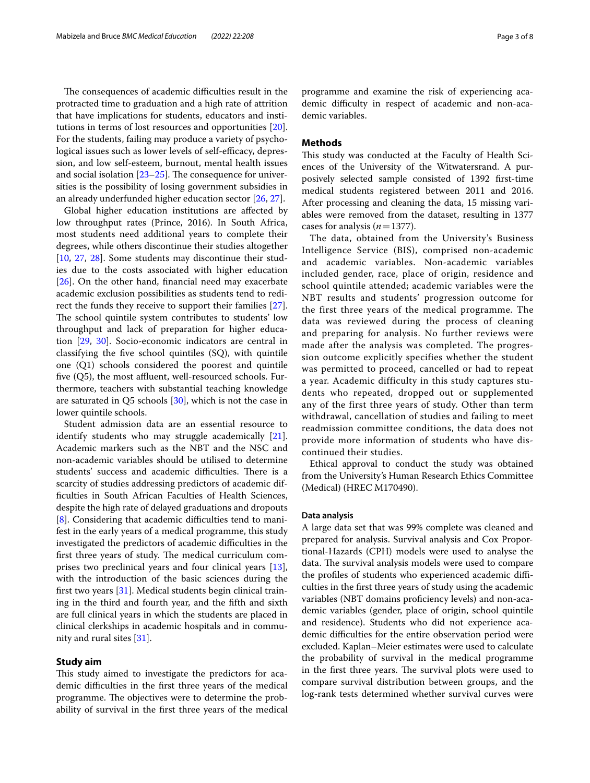The consequences of academic difficulties result in the protracted time to graduation and a high rate of attrition that have implications for students, educators and institutions in terms of lost resources and opportunities [\[20](#page-7-11)]. For the students, failing may produce a variety of psychological issues such as lower levels of self-efficacy, depression, and low self-esteem, burnout, mental health issues and social isolation  $[23-25]$  $[23-25]$  $[23-25]$ . The consequence for universities is the possibility of losing government subsidies in an already underfunded higher education sector [\[26](#page-7-15), [27\]](#page-7-16).

Global higher education institutions are afected by low throughput rates (Prince, 2016). In South Africa, most students need additional years to complete their degrees, while others discontinue their studies altogether [[10,](#page-7-1) [27](#page-7-16), [28\]](#page-7-17). Some students may discontinue their studies due to the costs associated with higher education [[26\]](#page-7-15). On the other hand, fnancial need may exacerbate academic exclusion possibilities as students tend to redirect the funds they receive to support their families [\[27](#page-7-16)]. The school quintile system contributes to students' low throughput and lack of preparation for higher education [[29,](#page-7-18) [30](#page-7-19)]. Socio-economic indicators are central in classifying the fve school quintiles (SQ), with quintile one (Q1) schools considered the poorest and quintile five  $(Q5)$ , the most affluent, well-resourced schools. Furthermore, teachers with substantial teaching knowledge are saturated in Q5 schools [\[30](#page-7-19)], which is not the case in lower quintile schools.

Student admission data are an essential resource to identify students who may struggle academically [\[21](#page-7-20)]. Academic markers such as the NBT and the NSC and non-academic variables should be utilised to determine students' success and academic difficulties. There is a scarcity of studies addressing predictors of academic diffculties in South African Faculties of Health Sciences, despite the high rate of delayed graduations and dropouts [[8\]](#page-6-7). Considering that academic difficulties tend to manifest in the early years of a medical programme, this study investigated the predictors of academic difficulties in the first three years of study. The medical curriculum comprises two preclinical years and four clinical years [\[13](#page-7-4)], with the introduction of the basic sciences during the frst two years [\[31\]](#page-7-21). Medical students begin clinical training in the third and fourth year, and the ffth and sixth are full clinical years in which the students are placed in clinical clerkships in academic hospitals and in community and rural sites [\[31\]](#page-7-21).

## **Study aim**

This study aimed to investigate the predictors for academic difficulties in the first three years of the medical programme. The objectives were to determine the probability of survival in the frst three years of the medical programme and examine the risk of experiencing academic difficulty in respect of academic and non-academic variables.

## **Methods**

This study was conducted at the Faculty of Health Sciences of the University of the Witwatersrand. A purposively selected sample consisted of 1392 frst-time medical students registered between 2011 and 2016. After processing and cleaning the data, 15 missing variables were removed from the dataset, resulting in 1377 cases for analysis (*n*=1377).

The data, obtained from the University's Business Intelligence Service (BIS), comprised non-academic and academic variables. Non-academic variables included gender, race, place of origin, residence and school quintile attended; academic variables were the NBT results and students' progression outcome for the first three years of the medical programme. The data was reviewed during the process of cleaning and preparing for analysis. No further reviews were made after the analysis was completed. The progression outcome explicitly specifies whether the student was permitted to proceed, cancelled or had to repeat a year. Academic difficulty in this study captures students who repeated, dropped out or supplemented any of the first three years of study. Other than term withdrawal, cancellation of studies and failing to meet readmission committee conditions, the data does not provide more information of students who have discontinued their studies.

Ethical approval to conduct the study was obtained from the University's Human Research Ethics Committee (Medical) (HREC M170490).

#### **Data analysis**

A large data set that was 99% complete was cleaned and prepared for analysis. Survival analysis and Cox Proportional-Hazards (CPH) models were used to analyse the data. The survival analysis models were used to compare the profiles of students who experienced academic difficulties in the frst three years of study using the academic variables (NBT domains proficiency levels) and non-academic variables (gender, place of origin, school quintile and residence). Students who did not experience academic difficulties for the entire observation period were excluded. Kaplan–Meier estimates were used to calculate the probability of survival in the medical programme in the first three years. The survival plots were used to compare survival distribution between groups, and the log-rank tests determined whether survival curves were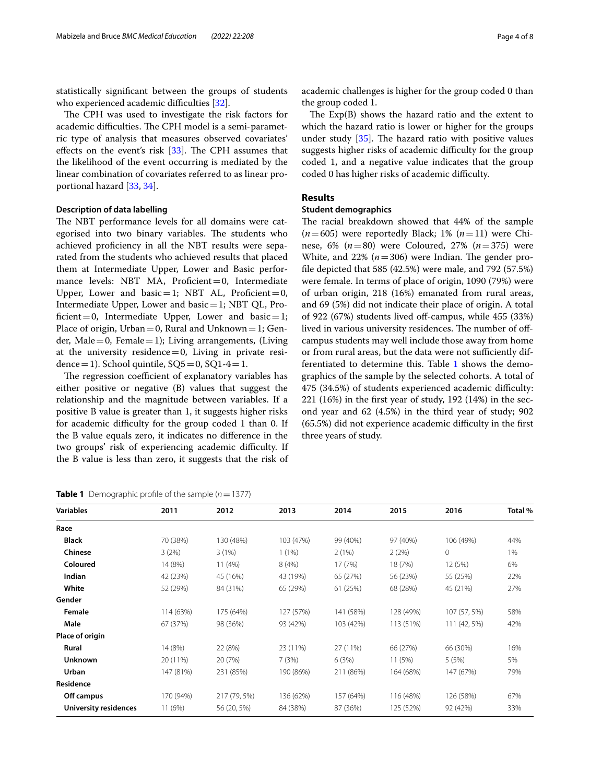statistically signifcant between the groups of students who experienced academic difficulties [\[32](#page-7-22)].

The CPH was used to investigate the risk factors for academic difficulties. The CPH model is a semi-parametric type of analysis that measures observed covariates' effects on the event's risk  $[33]$ . The CPH assumes that the likelihood of the event occurring is mediated by the linear combination of covariates referred to as linear proportional hazard [\[33](#page-7-23), [34](#page-7-24)].

# **Description of data labelling**

The NBT performance levels for all domains were categorised into two binary variables. The students who achieved profciency in all the NBT results were separated from the students who achieved results that placed them at Intermediate Upper, Lower and Basic performance levels: NBT MA, Proficient=0, Intermediate Upper, Lower and basic = 1; NBT AL, Proficient = 0, Intermediate Upper, Lower and  $basic = 1$ ; NBT QL, Proficient = 0, Intermediate Upper, Lower and basic = 1; Place of origin,  $Urban = 0$ , Rural and Unknown = 1; Gender, Male=0, Female=1); Living arrangements, (Living at the university residence $=0$ , Living in private residence = 1). School quintile,  $SQ5=0$ ,  $SQ1-4=1$ .

The regression coefficient of explanatory variables has either positive or negative (B) values that suggest the relationship and the magnitude between variables. If a positive B value is greater than 1, it suggests higher risks for academic difficulty for the group coded 1 than 0. If the B value equals zero, it indicates no diference in the two groups' risk of experiencing academic difficulty. If the B value is less than zero, it suggests that the risk of academic challenges is higher for the group coded 0 than the group coded 1.

The  $Exp(B)$  shows the hazard ratio and the extent to which the hazard ratio is lower or higher for the groups under study  $[35]$ . The hazard ratio with positive values suggests higher risks of academic difficulty for the group coded 1, and a negative value indicates that the group coded 0 has higher risks of academic difficulty.

# **Results**

# **Student demographics**

The racial breakdown showed that 44% of the sample (*n*=605) were reportedly Black; 1% (*n*=11) were Chinese, 6% (*n*=80) were Coloured, 27% (*n*=375) were White, and  $22\%$  ( $n=306$ ) were Indian. The gender profle depicted that 585 (42.5%) were male, and 792 (57.5%) were female. In terms of place of origin, 1090 (79%) were of urban origin, 218 (16%) emanated from rural areas, and 69 (5%) did not indicate their place of origin. A total of 922 (67%) students lived of-campus, while 455 (33%) lived in various university residences. The number of offcampus students may well include those away from home or from rural areas, but the data were not sufficiently dif-ferentiated to determine this. Table [1](#page-3-0) shows the demographics of the sample by the selected cohorts. A total of 475 (34.5%) of students experienced academic difficulty: 221 (16%) in the frst year of study, 192 (14%) in the second year and 62 (4.5%) in the third year of study; 902 (65.5%) did not experience academic difficulty in the first three years of study.

<span id="page-3-0"></span>**Table 1** Demographic profile of the sample  $(n=1377)$ 

| <b>Variables</b>             | 2011      | 2012         | 2013      | 2014      | 2015      | 2016         | Total % |
|------------------------------|-----------|--------------|-----------|-----------|-----------|--------------|---------|
| Race                         |           |              |           |           |           |              |         |
| <b>Black</b>                 | 70 (38%)  | 130 (48%)    | 103 (47%) | 99 (40%)  | 97 (40%)  | 106 (49%)    | 44%     |
| Chinese                      | 3(2%)     | 3(1%)        | 1(1%)     | 2(1%)     | 2(2%)     | 0            | 1%      |
| Coloured                     | 14 (8%)   | 11(4%)       | 8(4%)     | 17 (7%)   | 18 (7%)   | 12 (5%)      | 6%      |
| Indian                       | 42 (23%)  | 45 (16%)     | 43 (19%)  | 65 (27%)  | 56 (23%)  | 55 (25%)     | 22%     |
| White                        | 52 (29%)  | 84 (31%)     | 65 (29%)  | 61 (25%)  | 68 (28%)  | 45 (21%)     | 27%     |
| Gender                       |           |              |           |           |           |              |         |
| Female                       | 114 (63%) | 175 (64%)    | 127 (57%) | 141 (58%) | 128 (49%) | 107 (57, 5%) | 58%     |
| Male                         | 67 (37%)  | 98 (36%)     | 93 (42%)  | 103 (42%) | 113 (51%) | 111 (42, 5%) | 42%     |
| Place of origin              |           |              |           |           |           |              |         |
| Rural                        | 14 (8%)   | 22 (8%)      | 23 (11%)  | 27 (11%)  | 66 (27%)  | 66 (30%)     | 16%     |
| <b>Unknown</b>               | 20 (11%)  | 20 (7%)      | 7(3%)     | 6(3%)     | 11 (5%)   | 5(5%)        | 5%      |
| Urban                        | 147 (81%) | 231 (85%)    | 190 (86%) | 211 (86%) | 164 (68%) | 147 (67%)    | 79%     |
| Residence                    |           |              |           |           |           |              |         |
| Off campus                   | 170 (94%) | 217 (79, 5%) | 136 (62%) | 157 (64%) | 116 (48%) | 126 (58%)    | 67%     |
| <b>University residences</b> | 11 (6%)   | 56 (20, 5%)  | 84 (38%)  | 87 (36%)  | 125 (52%) | 92 (42%)     | 33%     |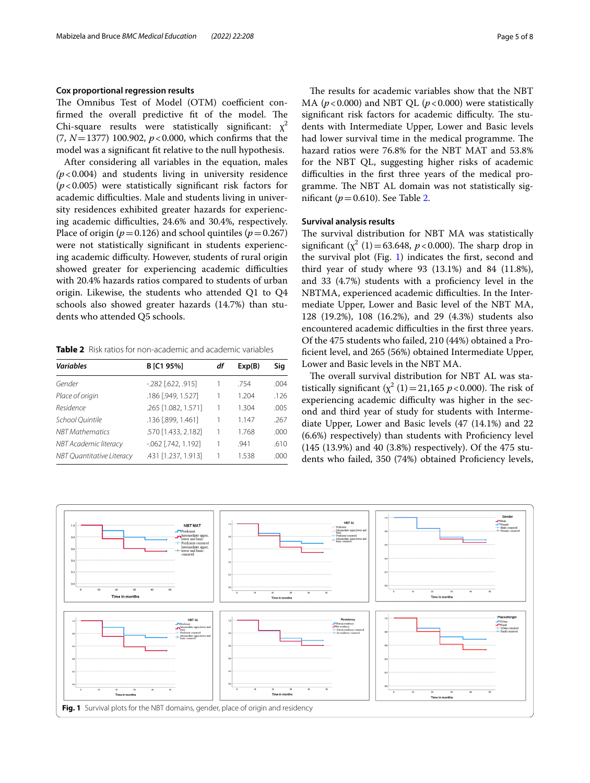# **Cox proportional regression results**

The Omnibus Test of Model (OTM) coefficient confirmed the overall predictive fit of the model. The Chi-square results were statistically significant:  $x^2$ (7, *N*=1377) 100.902, *p*<0.000, which confrms that the model was a signifcant ft relative to the null hypothesis.

After considering all variables in the equation, males  $(p<0.004)$  and students living in university residence (*p*<0.005) were statistically signifcant risk factors for academic difficulties. Male and students living in university residences exhibited greater hazards for experiencing academic difficulties, 24.6% and 30.4%, respectively. Place of origin ( $p=0.126$ ) and school quintiles ( $p=0.267$ ) were not statistically signifcant in students experiencing academic difficulty. However, students of rural origin showed greater for experiencing academic difficulties with 20.4% hazards ratios compared to students of urban origin. Likewise, the students who attended Q1 to Q4 schools also showed greater hazards (14.7%) than students who attended Q5 schools.

<span id="page-4-0"></span>**Table 2** Risk ratios for non-academic and academic variables

| <b>Variables</b>                 | B [C1 95%]           | df | Exp(B) | Sig  |
|----------------------------------|----------------------|----|--------|------|
| Gender                           | $-282$ [.622, .915]  |    | .754   | .004 |
| Place of origin                  | .186 [.949, 1.527]   | 1  | 1.204  | .126 |
| Residence                        | .265 [1.082, 1.571]  |    | 1.304  | .005 |
| School Quintile                  | .136 [.899, 1.461]   |    | 1.147  | .267 |
| <b>NBT</b> Mathematics           | .570 [1.433, 2.182]  | 1  | 1.768  | .000 |
| NBT Academic literacy            | $-062$ [.742, 1.192] |    | .941   | .610 |
| <b>NBT Quantitative Literacy</b> | .431 [1.237, 1.913]  | 1  | 1.538  | .000 |

The results for academic variables show that the NBT MA ( $p$ <0.000) and NBT QL ( $p$ <0.000) were statistically significant risk factors for academic difficulty. The students with Intermediate Upper, Lower and Basic levels had lower survival time in the medical programme. The hazard ratios were 76.8% for the NBT MAT and 53.8% for the NBT QL, suggesting higher risks of academic difculties in the frst three years of the medical programme. The NBT AL domain was not statistically signifcant (*p*=0.610). See Table [2](#page-4-0).

# **Survival analysis results**

The survival distribution for NBT MA was statistically significant  $(\chi^2 (1) = 63.648, p < 0.000)$ . The sharp drop in the survival plot (Fig. [1](#page-4-1)) indicates the first, second and third year of study where 93 (13.1%) and 84 (11.8%), and 33 (4.7%) students with a profciency level in the NBTMA, experienced academic difficulties. In the Intermediate Upper, Lower and Basic level of the NBT MA, 128 (19.2%), 108 (16.2%), and 29 (4.3%) students also encountered academic difficulties in the first three years. Of the 475 students who failed, 210 (44%) obtained a Profcient level, and 265 (56%) obtained Intermediate Upper, Lower and Basic levels in the NBT MA.

The overall survival distribution for NBT AL was statistically significant  $(\chi^2 (1) = 21,165 \, p < 0.000)$ . The risk of experiencing academic difficulty was higher in the second and third year of study for students with Intermediate Upper, Lower and Basic levels (47 (14.1%) and 22 (6.6%) respectively) than students with Profciency level (145 (13.9%) and 40 (3.8%) respectively). Of the 475 students who failed, 350 (74%) obtained Proficiency levels,

<span id="page-4-1"></span>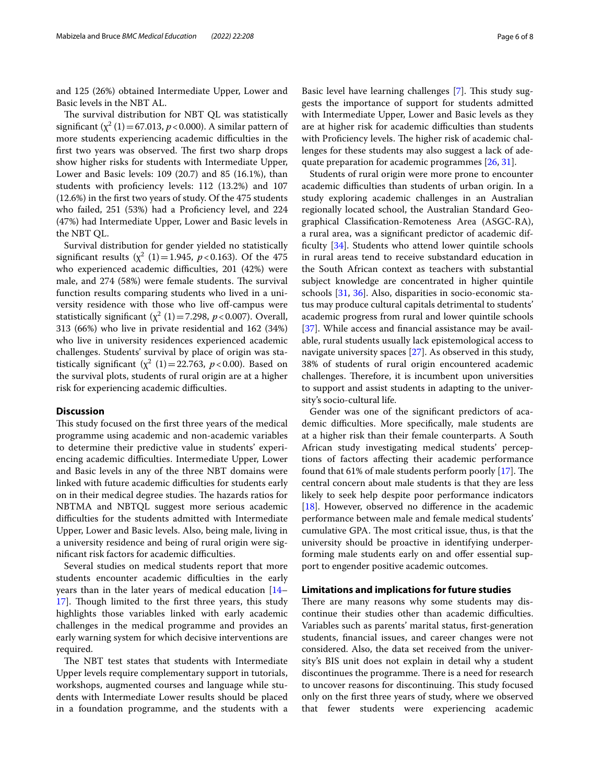and 125 (26%) obtained Intermediate Upper, Lower and Basic levels in the NBT AL.

The survival distribution for NBT QL was statistically significant  $(\chi^2(1) = 67.013, p < 0.000)$ . A similar pattern of more students experiencing academic difficulties in the first two years was observed. The first two sharp drops show higher risks for students with Intermediate Upper, Lower and Basic levels: 109 (20.7) and 85 (16.1%), than students with profciency levels: 112 (13.2%) and 107 (12.6%) in the frst two years of study. Of the 475 students who failed, 251 (53%) had a Proficiency level, and 224 (47%) had Intermediate Upper, Lower and Basic levels in the NBT QL.

Survival distribution for gender yielded no statistically significant results  $(\chi^2(1)) = 1.945$ ,  $p < 0.163$ ). Of the 475 who experienced academic difficulties, 201 (42%) were male, and 274 (58%) were female students. The survival function results comparing students who lived in a university residence with those who live off-campus were statistically significant  $(\chi^2(1)=7.298, p<0.007)$ . Overall, 313 (66%) who live in private residential and 162 (34%) who live in university residences experienced academic challenges. Students' survival by place of origin was statistically significant  $(\chi^2 \ (1) = 22.763, \ p < 0.00)$ . Based on the survival plots, students of rural origin are at a higher risk for experiencing academic difficulties.

## **Discussion**

This study focused on the first three years of the medical programme using academic and non-academic variables to determine their predictive value in students' experiencing academic difficulties. Intermediate Upper, Lower and Basic levels in any of the three NBT domains were linked with future academic difficulties for students early on in their medical degree studies. The hazards ratios for NBTMA and NBTQL suggest more serious academic difculties for the students admitted with Intermediate Upper, Lower and Basic levels. Also, being male, living in a university residence and being of rural origin were significant risk factors for academic difficulties.

Several studies on medical students report that more students encounter academic difficulties in the early years than in the later years of medical education [[14–](#page-7-5) 17. Though limited to the first three years, this study highlights those variables linked with early academic challenges in the medical programme and provides an early warning system for which decisive interventions are required.

The NBT test states that students with Intermediate Upper levels require complementary support in tutorials, workshops, augmented courses and language while students with Intermediate Lower results should be placed in a foundation programme, and the students with a

Basic level have learning challenges [[7\]](#page-6-6). This study suggests the importance of support for students admitted with Intermediate Upper, Lower and Basic levels as they are at higher risk for academic difficulties than students with Proficiency levels. The higher risk of academic challenges for these students may also suggest a lack of adequate preparation for academic programmes [\[26,](#page-7-15) [31](#page-7-21)].

Students of rural origin were more prone to encounter academic difficulties than students of urban origin. In a study exploring academic challenges in an Australian regionally located school, the Australian Standard Geographical Classifcation-Remoteness Area (ASGC-RA), a rural area, was a signifcant predictor of academic dif-ficulty [\[34\]](#page-7-24). Students who attend lower quintile schools in rural areas tend to receive substandard education in the South African context as teachers with substantial subject knowledge are concentrated in higher quintile schools [\[31](#page-7-21), [36](#page-7-26)]. Also, disparities in socio-economic status may produce cultural capitals detrimental to students' academic progress from rural and lower quintile schools [[37\]](#page-7-27). While access and financial assistance may be available, rural students usually lack epistemological access to navigate university spaces [[27\]](#page-7-16). As observed in this study, 38% of students of rural origin encountered academic challenges. Therefore, it is incumbent upon universities to support and assist students in adapting to the university's socio-cultural life.

Gender was one of the signifcant predictors of academic difficulties. More specifically, male students are at a higher risk than their female counterparts. A South African study investigating medical students' perceptions of factors afecting their academic performance found that 61% of male students perform poorly  $[17]$  $[17]$ . The central concern about male students is that they are less likely to seek help despite poor performance indicators [[18\]](#page-7-9). However, observed no diference in the academic performance between male and female medical students' cumulative GPA. The most critical issue, thus, is that the university should be proactive in identifying underperforming male students early on and offer essential support to engender positive academic outcomes.

# **Limitations and implications for future studies**

There are many reasons why some students may discontinue their studies other than academic difficulties. Variables such as parents' marital status, frst-generation students, fnancial issues, and career changes were not considered. Also, the data set received from the university's BIS unit does not explain in detail why a student discontinues the programme. There is a need for research to uncover reasons for discontinuing. This study focused only on the frst three years of study, where we observed that fewer students were experiencing academic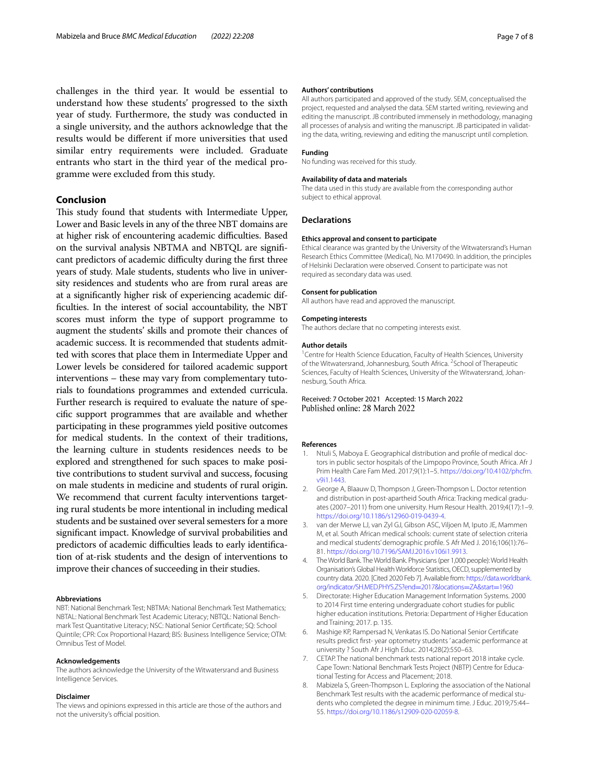challenges in the third year. It would be essential to understand how these students' progressed to the sixth year of study. Furthermore, the study was conducted in a single university, and the authors acknowledge that the results would be diferent if more universities that used similar entry requirements were included. Graduate entrants who start in the third year of the medical programme were excluded from this study.

# **Conclusion**

This study found that students with Intermediate Upper, Lower and Basic levels in any of the three NBT domains are at higher risk of encountering academic difficulties. Based on the survival analysis NBTMA and NBTQL are signifcant predictors of academic difficulty during the first three years of study. Male students, students who live in university residences and students who are from rural areas are at a signifcantly higher risk of experiencing academic diffculties. In the interest of social accountability, the NBT scores must inform the type of support programme to augment the students' skills and promote their chances of academic success. It is recommended that students admitted with scores that place them in Intermediate Upper and Lower levels be considered for tailored academic support interventions – these may vary from complementary tutorials to foundations programmes and extended curricula. Further research is required to evaluate the nature of specifc support programmes that are available and whether participating in these programmes yield positive outcomes for medical students. In the context of their traditions, the learning culture in students residences needs to be explored and strengthened for such spaces to make positive contributions to student survival and success, focusing on male students in medicine and students of rural origin. We recommend that current faculty interventions targeting rural students be more intentional in including medical students and be sustained over several semesters for a more signifcant impact. Knowledge of survival probabilities and predictors of academic difficulties leads to early identification of at-risk students and the design of interventions to improve their chances of succeeding in their studies.

#### **Abbreviations**

NBT: National Benchmark Test; NBTMA: National Benchmark Test Mathematics; NBTAL: National Benchmark Test Academic Literacy; NBTQL: National Benchmark Test Quantitative Literacy; NSC: National Senior Certifcate; SQ: School Quintile; CPR: Cox Proportional Hazard; BIS: Business Intelligence Service; OTM: Omnibus Test of Model.

#### **Acknowledgements**

The authors acknowledge the University of the Witwatersrand and Business Intelligence Services.

#### **Disclaimer**

The views and opinions expressed in this article are those of the authors and not the university's official position.

#### **Authors' contributions**

All authors participated and approved of the study. SEM, conceptualised the project, requested and analysed the data. SEM started writing, reviewing and editing the manuscript. JB contributed immensely in methodology, managing all processes of analysis and writing the manuscript. JB participated in validating the data, writing, reviewing and editing the manuscript until completion.

## **Funding**

No funding was received for this study.

#### **Availability of data and materials**

The data used in this study are available from the corresponding author subject to ethical approval.

#### **Declarations**

#### **Ethics approval and consent to participate**

Ethical clearance was granted by the University of the Witwatersrand's Human Research Ethics Committee (Medical), No. M170490. In addition, the principles of Helsinki Declaration were observed. Consent to participate was not required as secondary data was used.

#### **Consent for publication**

All authors have read and approved the manuscript.

#### **Competing interests**

The authors declare that no competing interests exist.

#### **Author details**

<sup>1</sup> Centre for Health Science Education, Faculty of Health Sciences, University of the Witwatersrand, Johannesburg, South Africa. <sup>2</sup> School of Therapeutic Sciences, Faculty of Health Sciences, University of the Witwatersrand, Johannesburg, South Africa.

# Received: 7 October 2021 Accepted: 15 March 2022 Published online: 28 March 2022

#### **References**

- <span id="page-6-0"></span>1. Ntuli S, Maboya E. Geographical distribution and profile of medical doctors in public sector hospitals of the Limpopo Province, South Africa. Afr J Prim Health Care Fam Med. 2017;9(1):1–5. [https://doi.org/10.4102/phcfm.](https://doi.org/10.4102/phcfm.v9i1.1443) [v9i1.1443.](https://doi.org/10.4102/phcfm.v9i1.1443)
- <span id="page-6-1"></span>2. George A, Blaauw D, Thompson J, Green-Thompson L. Doctor retention and distribution in post-apartheid South Africa: Tracking medical graduates (2007–2011) from one university. Hum Resour Health. 2019;4(17):1–9. [https://doi.org/10.1186/s12960-019-0439-4.](https://doi.org/10.1186/s12960-019-0439-4)
- <span id="page-6-2"></span>3. van der Merwe LJ, van Zyl GJ, Gibson ASC, Viljoen M, Iputo JE, Mammen M, et al. South African medical schools: current state of selection criteria and medical students' demographic profle. S Afr Med J. 2016;106(1):76– 81. [https://doi.org/10.7196/SAMJ.2016.v106i1.9913.](https://doi.org/10.7196/SAMJ.2016.v106i1.9913)
- <span id="page-6-3"></span>4. The World Bank. The World Bank. Physicians (per 1,000 people): World Health Organisation's Global Health Workforce Statistics, OECD, supplemented by country data. 2020. [Cited 2020 Feb 7]. Available from: [https://data.worldbank.](https://data.worldbank.org/indicator/SH.MED.PHYS.ZS?end=2017&locations=ZA&start=1960) org/indicator/SH.MED.PHYS.ZS?end=2017&locations=ZA&start=1960
- <span id="page-6-4"></span>5. [Directorate: Higher Education Management Information Systems. 2](https://data.worldbank.org/indicator/SH.MED.PHYS.ZS?end=2017&locations=ZA&start=1960)000 to 2014 First time entering undergraduate cohort studies for public higher education institutions. Pretoria: Department of Higher Education and Training; 2017. p. 135.
- <span id="page-6-5"></span>6. Mashige KP, Rampersad N, Venkatas IS. Do National Senior Certifcate results predict frst- year optometry students ' academic performance at university ? South Afr J High Educ. 2014;28(2):550–63.
- <span id="page-6-6"></span>7. CETAP. The national benchmark tests national report 2018 intake cycle. Cape Town: National Benchmark Tests Project (NBTP) Centre for Educational Testing for Access and Placement; 2018.
- <span id="page-6-7"></span>8. Mabizela S, Green-Thompson L. Exploring the association of the National Benchmark Test results with the academic performance of medical students who completed the degree in minimum time. J Educ. 2019;75:44– 55. [https://doi.org/10.1186/s12909-020-02059-8.](https://doi.org/10.1186/s12909-020-02059-8)